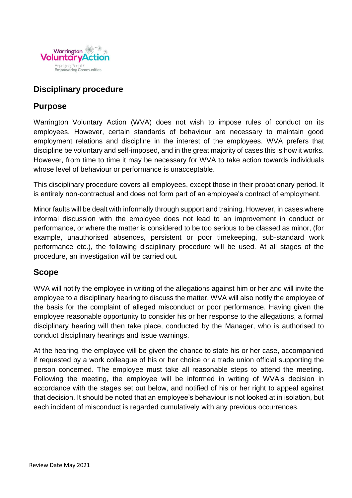

# **Disciplinary procedure**

# **Purpose**

Warrington Voluntary Action (WVA) does not wish to impose rules of conduct on its employees. However, certain standards of behaviour are necessary to maintain good employment relations and discipline in the interest of the employees. WVA prefers that discipline be voluntary and self-imposed, and in the great majority of cases this is how it works. However, from time to time it may be necessary for WVA to take action towards individuals whose level of behaviour or performance is unacceptable.

This disciplinary procedure covers all employees, except those in their probationary period. It is entirely non-contractual and does not form part of an employee's contract of employment.

Minor faults will be dealt with informally through support and training. However, in cases where informal discussion with the employee does not lead to an improvement in conduct or performance, or where the matter is considered to be too serious to be classed as minor, (for example, unauthorised absences, persistent or poor timekeeping, sub-standard work performance etc.), the following disciplinary procedure will be used. At all stages of the procedure, an investigation will be carried out.

# **Scope**

WVA will notify the employee in writing of the allegations against him or her and will invite the employee to a disciplinary hearing to discuss the matter. WVA will also notify the employee of the basis for the complaint of alleged misconduct or poor performance. Having given the employee reasonable opportunity to consider his or her response to the allegations, a formal disciplinary hearing will then take place, conducted by the Manager, who is authorised to conduct disciplinary hearings and issue warnings.

At the hearing, the employee will be given the chance to state his or her case, accompanied if requested by a work colleague of his or her choice or a trade union official supporting the person concerned. The employee must take all reasonable steps to attend the meeting. Following the meeting, the employee will be informed in writing of WVA's decision in accordance with the stages set out below, and notified of his or her right to appeal against that decision. It should be noted that an employee's behaviour is not looked at in isolation, but each incident of misconduct is regarded cumulatively with any previous occurrences.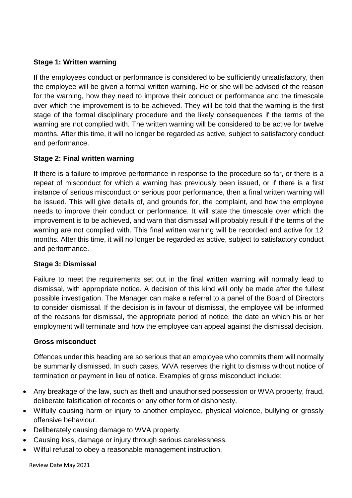## **Stage 1: Written warning**

If the employees conduct or performance is considered to be sufficiently unsatisfactory, then the employee will be given a formal written warning. He or she will be advised of the reason for the warning, how they need to improve their conduct or performance and the timescale over which the improvement is to be achieved. They will be told that the warning is the first stage of the formal disciplinary procedure and the likely consequences if the terms of the warning are not complied with. The written warning will be considered to be active for twelve months. After this time, it will no longer be regarded as active, subject to satisfactory conduct and performance.

## **Stage 2: Final written warning**

If there is a failure to improve performance in response to the procedure so far, or there is a repeat of misconduct for which a warning has previously been issued, or if there is a first instance of serious misconduct or serious poor performance, then a final written warning will be issued. This will give details of, and grounds for, the complaint, and how the employee needs to improve their conduct or performance. It will state the timescale over which the improvement is to be achieved, and warn that dismissal will probably result if the terms of the warning are not complied with. This final written warning will be recorded and active for 12 months. After this time, it will no longer be regarded as active, subject to satisfactory conduct and performance.

## **Stage 3: Dismissal**

Failure to meet the requirements set out in the final written warning will normally lead to dismissal, with appropriate notice. A decision of this kind will only be made after the fullest possible investigation. The Manager can make a referral to a panel of the Board of Directors to consider dismissal. If the decision is in favour of dismissal, the employee will be informed of the reasons for dismissal, the appropriate period of notice, the date on which his or her employment will terminate and how the employee can appeal against the dismissal decision.

## **Gross misconduct**

Offences under this heading are so serious that an employee who commits them will normally be summarily dismissed. In such cases, WVA reserves the right to dismiss without notice of termination or payment in lieu of notice. Examples of gross misconduct include:

- Any breakage of the law, such as theft and unauthorised possession or WVA property, fraud, deliberate falsification of records or any other form of dishonesty.
- Wilfully causing harm or injury to another employee, physical violence, bullying or grossly offensive behaviour.
- Deliberately causing damage to WVA property.
- Causing loss, damage or injury through serious carelessness.
- Wilful refusal to obey a reasonable management instruction.